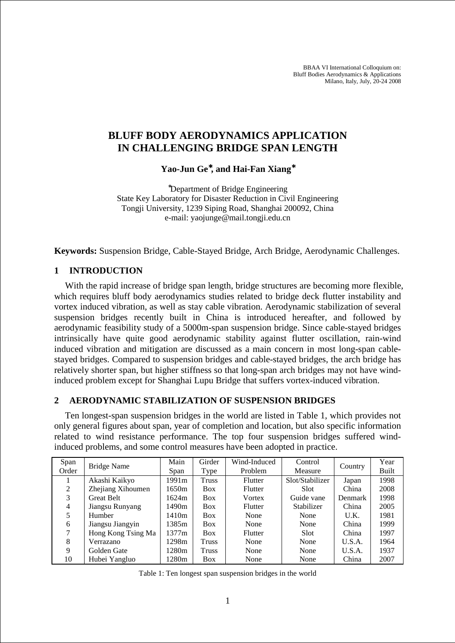BBAA VI International Colloquium on: Bluff Bodies Aerodynamics & Applications Milano, Italy, July, 20-24 2008

# **BLUFF BODY AERODYNAMICS APPLICATION IN CHALLENGING BRIDGE SPAN LENGTH**

**Yao-Jun Ge**<sup>∗</sup>**, and Hai-Fan Xiang**<sup>∗</sup>

<sup>∗</sup>Department of Bridge Engineering State Key Laboratory for Disaster Reduction in Civil Engineering Tongji University, 1239 Siping Road, Shanghai 200092, China e-mail: yaojunge@mail.tongji.edu.cn

**Keywords:** Suspension Bridge, Cable-Stayed Bridge, Arch Bridge, Aerodynamic Challenges.

#### **1 INTRODUCTION**

With the rapid increase of bridge span length, bridge structures are becoming more flexible, which requires bluff body aerodynamics studies related to bridge deck flutter instability and vortex induced vibration, as well as stay cable vibration. Aerodynamic stabilization of several suspension bridges recently built in China is introduced hereafter, and followed by aerodynamic feasibility study of a 5000m-span suspension bridge. Since cable-stayed bridges intrinsically have quite good aerodynamic stability against flutter oscillation, rain-wind induced vibration and mitigation are discussed as a main concern in most long-span cablestayed bridges. Compared to suspension bridges and cable-stayed bridges, the arch bridge has relatively shorter span, but higher stiffness so that long-span arch bridges may not have windinduced problem except for Shanghai Lupu Bridge that suffers vortex-induced vibration.

#### **2 AERODYNAMIC STABILIZATION OF SUSPENSION BRIDGES**

Ten longest-span suspension bridges in the world are listed in Table 1, which provides not only general figures about span, year of completion and location, but also specific information related to wind resistance performance. The top four suspension bridges suffered windinduced problems, and some control measures have been adopted in practice.

| Span  | <b>Bridge Name</b> | Main        | Girder       | Wind-Induced | Control         | Country | Year  |
|-------|--------------------|-------------|--------------|--------------|-----------------|---------|-------|
| Order |                    | <b>Span</b> | Type         | Problem      | Measure         |         | Built |
|       | Akashi Kaikyo      | 1991m       | <b>Truss</b> | Flutter      | Slot/Stabilizer | Japan   | 1998  |
| 2     | Zhejiang Xihoumen  | 1650m       | <b>Box</b>   | Flutter      | Slot            | China   | 2008  |
| 3     | <b>Great Belt</b>  | 1624m       | <b>Box</b>   | Vortex       | Guide vane      | Denmark | 1998  |
| 4     | Jiangsu Runyang    | 1490m       | <b>Box</b>   | Flutter      | Stabilizer      | China   | 2005  |
| 5     | Humber             | 1410m       | <b>Box</b>   | None         | None            | U.K.    | 1981  |
| 6     | Jiangsu Jiangyin   | 1385m       | <b>Box</b>   | None         | None            | China   | 1999  |
| 7     | Hong Kong Tsing Ma | 1377m       | <b>Box</b>   | Flutter      | <b>Slot</b>     | China   | 1997  |
| 8     | Verrazano          | 1298m       | Truss        | None         | None            | U.S.A.  | 1964  |
| 9     | Golden Gate        | 1280m       | <b>Truss</b> | None         | None            | U.S.A.  | 1937  |
| 10    | Hubei Yangluo      | 1280m       | <b>Box</b>   | None         | None            | China   | 2007  |

Table 1: Ten longest span suspension bridges in the world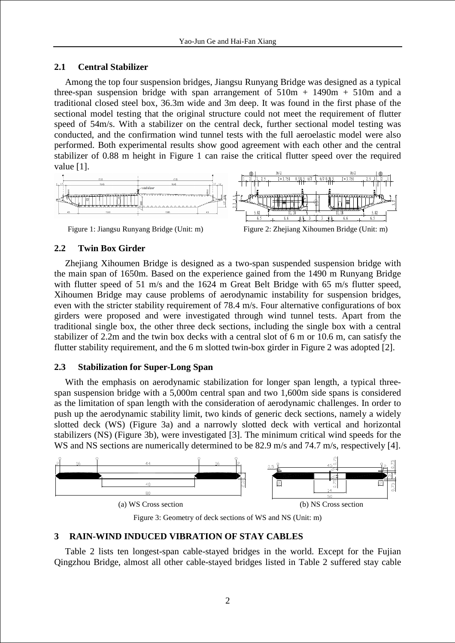## **2.1 Central Stabilizer**

Among the top four suspension bridges, Jiangsu Runyang Bridge was designed as a typical three-span suspension bridge with span arrangement of  $510m + 1490m + 510m$  and a traditional closed steel box, 36.3m wide and 3m deep. It was found in the first phase of the sectional model testing that the original structure could not meet the requirement of flutter speed of 54m/s. With a stabilizer on the central deck, further sectional model testing was conducted, and the confirmation wind tunnel tests with the full aeroelastic model were also performed. Both experimental results show good agreement with each other and the central stabilizer of 0.88 m height in Figure 1 can raise the critical flutter speed over the required value [1].



## **2.2 Twin Box Girder**

Zhejiang Xihoumen Bridge is designed as a two-span suspended suspension bridge with the main span of 1650m. Based on the experience gained from the 1490 m Runyang Bridge with flutter speed of 51 m/s and the 1624 m Great Belt Bridge with 65 m/s flutter speed, Xihoumen Bridge may cause problems of aerodynamic instability for suspension bridges, even with the stricter stability requirement of 78.4 m/s. Four alternative configurations of box girders were proposed and were investigated through wind tunnel tests. Apart from the traditional single box, the other three deck sections, including the single box with a central stabilizer of 2.2m and the twin box decks with a central slot of 6 m or 10.6 m, can satisfy the flutter stability requirement, and the 6 m slotted twin-box girder in Figure 2 was adopted [2].

## **2.3 Stabilization for Super-Long Span**

With the emphasis on aerodynamic stabilization for longer span length, a typical threespan suspension bridge with a 5,000m central span and two 1,600m side spans is considered as the limitation of span length with the consideration of aerodynamic challenges. In order to push up the aerodynamic stability limit, two kinds of generic deck sections, namely a widely slotted deck (WS) (Figure 3a) and a narrowly slotted deck with vertical and horizontal stabilizers (NS) (Figure 3b), were investigated [3]. The minimum critical wind speeds for the WS and NS sections are numerically determined to be 82.9 m/s and 74.7 m/s, respectively [4].



Figure 3: Geometry of deck sections of WS and NS (Unit: m)

## **3 RAIN-WIND INDUCED VIBRATION OF STAY CABLES**

Table 2 lists ten longest-span cable-stayed bridges in the world. Except for the Fujian Qingzhou Bridge, almost all other cable-stayed bridges listed in Table 2 suffered stay cable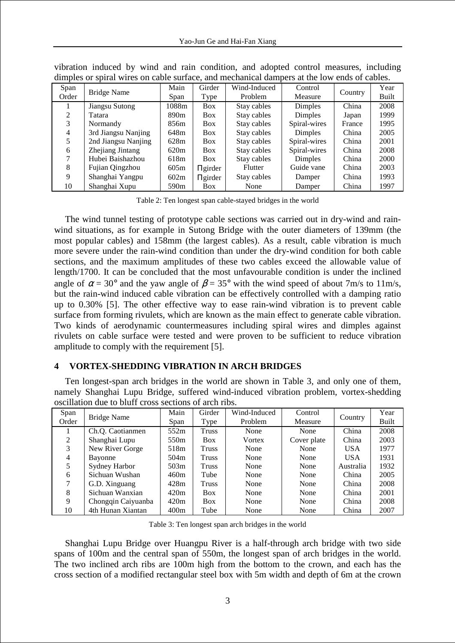| Span<br>Order  | Bridge Name         | Main<br>Span     | Girder<br>Type | Wind-Induced<br>Problem | Control<br>Measure | Country | Year<br>Built |
|----------------|---------------------|------------------|----------------|-------------------------|--------------------|---------|---------------|
|                | Jiangsu Sutong      | 1088m            | <b>Box</b>     | Stay cables             | Dimples            | China   | 2008          |
| $\mathfrak{D}$ | Tatara              | 890 <sub>m</sub> | <b>Box</b>     | Stay cables             | Dimples            | Japan   | 1999          |
| 3              | Normandy            | 856m             | <b>Box</b>     | Stay cables             | Spiral-wires       | France  | 1995          |
| 4              | 3rd Jiangsu Nanjing | 648m             | <b>Box</b>     | Stay cables             | Dimples            | China   | 2005          |
|                | 2nd Jiangsu Nanjing | 628m             | <b>Box</b>     | Stay cables             | Spiral-wires       | China   | 2001          |
| 6              | Zhejiang Jintang    | 620m             | <b>Box</b>     | Stay cables             | Spiral-wires       | China   | 2008          |
|                | Hubei Baishazhou    | 618m             | <b>Box</b>     | Stay cables             | Dimples            | China   | <b>2000</b>   |
| 8              | Fujian Qingzhou     | 605m             | $\Pi$ girder   | Flutter                 | Guide vane         | China   | 2003          |
| 9              | Shanghai Yangpu     | 602m             | $\Pi$ girder   | Stay cables             | Damper             | China   | 1993          |
| 10             | Shanghai Xupu       | 590 <sub>m</sub> | <b>Box</b>     | None                    | Damper             | China   | 1997          |

vibration induced by wind and rain condition, and adopted control measures, including dimples or spiral wires on cable surface, and mechanical dampers at the low ends of cables.

Table 2: Ten longest span cable-stayed bridges in the world

The wind tunnel testing of prototype cable sections was carried out in dry-wind and rainwind situations, as for example in Sutong Bridge with the outer diameters of 139mm (the most popular cables) and 158mm (the largest cables). As a result, cable vibration is much more severe under the rain-wind condition than under the dry-wind condition for both cable sections, and the maximum amplitudes of these two cables exceed the allowable value of length/1700. It can be concluded that the most unfavourable condition is under the inclined angle of  $\alpha = 30^{\circ}$  and the yaw angle of  $\beta = 35^{\circ}$  with the wind speed of about 7m/s to 11m/s, but the rain-wind induced cable vibration can be effectively controlled with a damping ratio up to 0.30% [5]. The other effective way to ease rain-wind vibration is to prevent cable surface from forming rivulets, which are known as the main effect to generate cable vibration. Two kinds of aerodynamic countermeasures including spiral wires and dimples against rivulets on cable surface were tested and were proven to be sufficient to reduce vibration amplitude to comply with the requirement [5].

## **4 VORTEX-SHEDDING VIBRATION IN ARCH BRIDGES**

Ten longest-span arch bridges in the world are shown in Table 3, and only one of them, namely Shanghai Lupu Bridge, suffered wind-induced vibration problem, vortex-shedding oscillation due to bluff cross sections of arch ribs.

| Span  | Bridge Name        | Main | Girder       | Wind-Induced | Control     | Country    | Year  |
|-------|--------------------|------|--------------|--------------|-------------|------------|-------|
| Order |                    | Span | Type         | Problem      | Measure     |            | Built |
|       | Ch.Q. Caotianmen   | 552m | <b>Truss</b> | None         | None        | China      | 2008  |
| 2     | Shanghai Lupu      | 550m | <b>Box</b>   | Vortex       | Cover plate | China      | 2003  |
| 3     | New River Gorge    | 518m | <b>Truss</b> | None         | None        | <b>USA</b> | 1977  |
| 4     | Bayonne            | 504m | Truss        | None         | None        | <b>USA</b> | 1931  |
| 5     | Sydney Harbor      | 503m | Truss        | None         | None        | Australia  | 1932  |
| 6     | Sichuan Wushan     | 460m | Tube         | None         | None        | China      | 2005  |
| 7     | G.D. Xinguang      | 428m | Truss        | None         | None        | China      | 2008  |
| 8     | Sichuan Wanxian    | 420m | <b>Box</b>   | None         | None        | China      | 2001  |
| 9     | Chongqin Caiyuanba | 420m | <b>Box</b>   | None         | None        | China      | 2008  |
| 10    | 4th Hunan Xiantan  | 400m | Tube         | None         | None        | China      | 2007  |

Table 3: Ten longest span arch bridges in the world

Shanghai Lupu Bridge over Huangpu River is a half-through arch bridge with two side spans of 100m and the central span of 550m, the longest span of arch bridges in the world. The two inclined arch ribs are 100m high from the bottom to the crown, and each has the cross section of a modified rectangular steel box with 5m width and depth of 6m at the crown